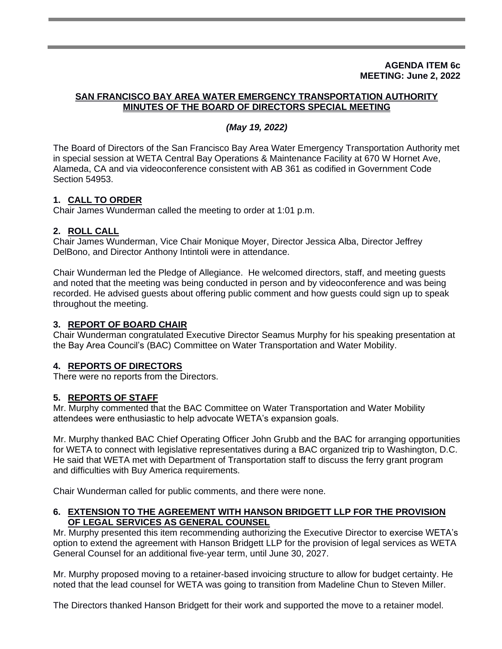#### **AGENDA ITEM 6c MEETING: June 2, 2022**

#### **SAN FRANCISCO BAY AREA WATER EMERGENCY TRANSPORTATION AUTHORITY MINUTES OF THE BOARD OF DIRECTORS SPECIAL MEETING**

## *(May 19, 2022)*

The Board of Directors of the San Francisco Bay Area Water Emergency Transportation Authority met in special session at WETA Central Bay Operations & Maintenance Facility at 670 W Hornet Ave, Alameda, CA and via videoconference consistent with AB 361 as codified in Government Code Section 54953.

# **1. CALL TO ORDER**

Chair James Wunderman called the meeting to order at 1:01 p.m.

### **2. ROLL CALL**

Chair James Wunderman, Vice Chair Monique Moyer, Director Jessica Alba, Director Jeffrey DelBono, and Director Anthony Intintoli were in attendance.

Chair Wunderman led the Pledge of Allegiance. He welcomed directors, staff, and meeting guests and noted that the meeting was being conducted in person and by videoconference and was being recorded. He advised guests about offering public comment and how guests could sign up to speak throughout the meeting.

### **3. REPORT OF BOARD CHAIR**

Chair Wunderman congratulated Executive Director Seamus Murphy for his speaking presentation at the Bay Area Council's (BAC) Committee on Water Transportation and Water Mobility.

### **4. REPORTS OF DIRECTORS**

There were no reports from the Directors.

### **5. REPORTS OF STAFF**

Mr. Murphy commented that the BAC Committee on Water Transportation and Water Mobility attendees were enthusiastic to help advocate WETA's expansion goals.

Mr. Murphy thanked BAC Chief Operating Officer John Grubb and the BAC for arranging opportunities for WETA to connect with legislative representatives during a BAC organized trip to Washington, D.C. He said that WETA met with Department of Transportation staff to discuss the ferry grant program and difficulties with Buy America requirements.

Chair Wunderman called for public comments, and there were none.

### **6. EXTENSION TO THE AGREEMENT WITH HANSON BRIDGETT LLP FOR THE PROVISION OF LEGAL SERVICES AS GENERAL COUNSEL**

Mr. Murphy presented this item recommending authorizing the Executive Director to exercise WETA's option to extend the agreement with Hanson Bridgett LLP for the provision of legal services as WETA General Counsel for an additional five-year term, until June 30, 2027.

Mr. Murphy proposed moving to a retainer-based invoicing structure to allow for budget certainty. He noted that the lead counsel for WETA was going to transition from Madeline Chun to Steven Miller.

The Directors thanked Hanson Bridgett for their work and supported the move to a retainer model.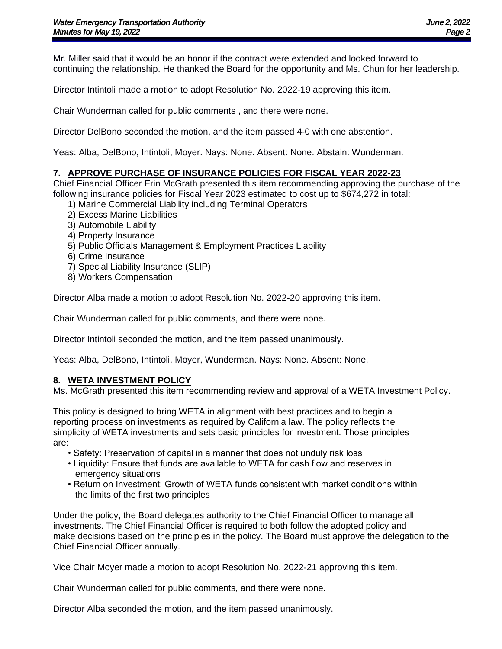Mr. Miller said that it would be an honor if the contract were extended and looked forward to continuing the relationship. He thanked the Board for the opportunity and Ms. Chun for her leadership.

Director Intintoli made a motion to adopt Resolution No. 2022-19 approving this item.

Chair Wunderman called for public comments , and there were none.

Director DelBono seconded the motion, and the item passed 4-0 with one abstention.

Yeas: Alba, DelBono, Intintoli, Moyer. Nays: None. Absent: None. Abstain: Wunderman.

#### **7. APPROVE PURCHASE OF INSURANCE POLICIES FOR FISCAL YEAR 2022-23**

Chief Financial Officer Erin McGrath presented this item recommending approving the purchase of the following insurance policies for Fiscal Year 2023 estimated to cost up to \$674,272 in total:

- 1) Marine Commercial Liability including Terminal Operators
- 2) Excess Marine Liabilities
- 3) Automobile Liability
- 4) Property Insurance
- 5) Public Officials Management & Employment Practices Liability
- 6) Crime Insurance
- 7) Special Liability Insurance (SLIP)
- 8) Workers Compensation

Director Alba made a motion to adopt Resolution No. 2022-20 approving this item.

Chair Wunderman called for public comments, and there were none.

Director Intintoli seconded the motion, and the item passed unanimously.

Yeas: Alba, DelBono, Intintoli, Moyer, Wunderman. Nays: None. Absent: None.

#### **8. WETA INVESTMENT POLICY**

Ms. McGrath presented this item recommending review and approval of a WETA Investment Policy.

This policy is designed to bring WETA in alignment with best practices and to begin a reporting process on investments as required by California law. The policy reflects the simplicity of WETA investments and sets basic principles for investment. Those principles are:

- Safety: Preservation of capital in a manner that does not unduly risk loss
- Liquidity: Ensure that funds are available to WETA for cash flow and reserves in emergency situations
- Return on Investment: Growth of WETA funds consistent with market conditions within the limits of the first two principles

Under the policy, the Board delegates authority to the Chief Financial Officer to manage all investments. The Chief Financial Officer is required to both follow the adopted policy and make decisions based on the principles in the policy. The Board must approve the delegation to the Chief Financial Officer annually.

Vice Chair Moyer made a motion to adopt Resolution No. 2022-21 approving this item.

Chair Wunderman called for public comments, and there were none.

Director Alba seconded the motion, and the item passed unanimously.